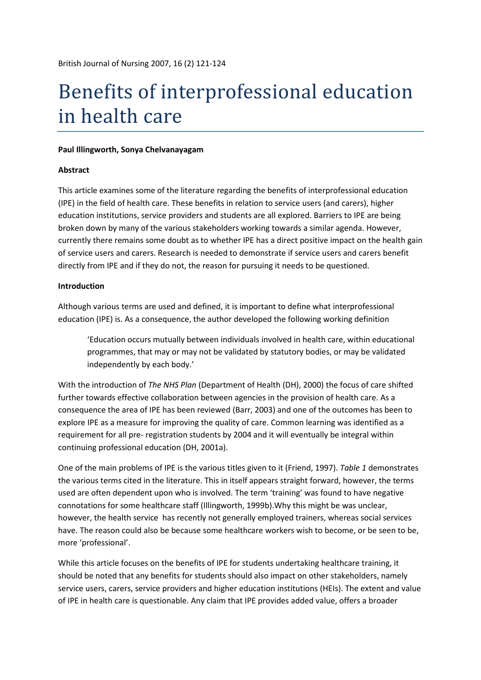# Benefits of interprofessional education in health care

#### **Paul Illingworth, Sonya Chelvanayagam**

### **Abstract**

This article examines some of the literature regarding the benefits of interprofessional education (IPE) in the field of health care. These benefits in relation to service users (and carers), higher education institutions, service providers and students are all explored. Barriers to IPE are being broken down by many of the various stakeholders working towards a similar agenda. However, currently there remains some doubt as to whether IPE has a direct positive impact on the health gain of service users and carers. Research is needed to demonstrate if service users and carers benefit directly from IPE and if they do not, the reason for pursuing it needs to be questioned.

### **Introduction**

Although various terms are used and defined, it is important to define what interprofessional education (IPE) is. As a consequence, the author developed the following working definition

'Education occurs mutually between individuals involved in health care, within educational programmes, that may or may not be validated by statutory bodies, or may be validated independently by each body.'

With the introduction of *The NHS Plan* (Department of Health (DH), 2000) the focus of care shifted further towards effective collaboration between agencies in the provision of health care. As a consequence the area of IPE has been reviewed (Barr, 2003) and one of the outcomes has been to explore IPE as a measure for improving the quality of care. Common learning was identified as a requirement for all pre- registration students by 2004 and it will eventually be integral within continuing professional education (DH, 2001a).

One of the main problems of IPE is the various titles given to it (Friend, 1997). *Table 1* demonstrates the various terms cited in the literature. This in itself appears straight forward, however, the terms used are often dependent upon who is involved. The term 'training' was found to have negative connotations for some healthcare staff (Illingworth, 1999b).Why this might be was unclear, however, the health service has recently not generally employed trainers, whereas social services have. The reason could also be because some healthcare workers wish to become, or be seen to be, more 'professional'.

While this article focuses on the benefits of IPE for students undertaking healthcare training, it should be noted that any benefits for students should also impact on other stakeholders, namely service users, carers, service providers and higher education institutions (HEIs). The extent and value of IPE in health care is questionable. Any claim that IPE provides added value, offers a broader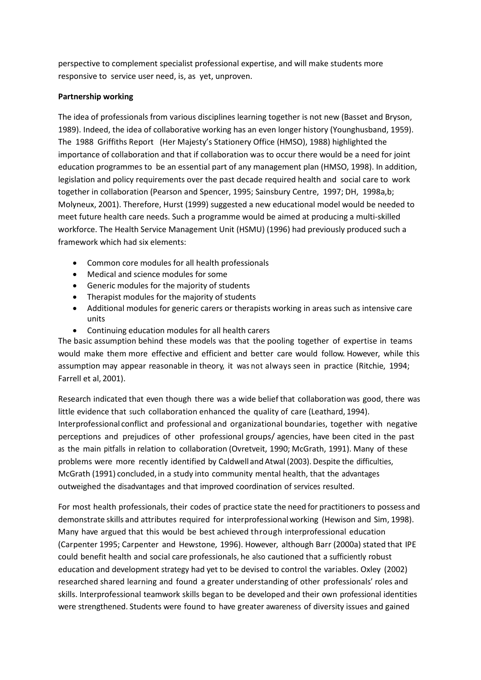perspective to complement specialist professional expertise, and will make students more responsive to service user need, is, as yet, unproven.

## **Partnership working**

The idea of professionals from various disciplines learning together is not new (Basset and Bryson, 1989). Indeed, the idea of collaborative working has an even longer history (Younghusband, 1959). The 1988 Griffiths Report (Her Majesty's Stationery Office (HMSO), 1988) highlighted the importance of collaboration and that if collaboration was to occur there would be a need for joint education programmes to be an essential part of any management plan (HMSO, 1998). In addition, legislation and policy requirements over the past decade required health and social care to work together in collaboration (Pearson and Spencer, 1995; Sainsbury Centre, 1997; DH, 1998a,b; Molyneux, 2001). Therefore, Hurst (1999) suggested a new educational model would be needed to meet future health care needs. Such a programme would be aimed at producing a multi-skilled workforce. The Health Service Management Unit (HSMU) (1996) had previously produced such a framework which had six elements:

- Common core modules for all health professionals
- Medical and science modules for some
- Generic modules for the majority of students
- Therapist modules for the majority of students
- Additional modules for generic carers or therapists working in areas such as intensive care units
- Continuing education modules for all health carers

The basic assumption behind these models was that the pooling together of expertise in teams would make them more effective and efficient and better care would follow. However, while this assumption may appear reasonable in theory, it was not always seen in practice (Ritchie, 1994; Farrell et al, 2001).

Research indicated that even though there was a wide belief that collaboration was good, there was little evidence that such collaboration enhanced the quality of care (Leathard, 1994). Interprofessional conflict and professional and organizational boundaries, together with negative perceptions and prejudices of other professional groups/ agencies, have been cited in the past as the main pitfalls in relation to collaboration (Ovretveit, 1990; McGrath, 1991). Many of these problems were more recently identified by Caldwell and Atwal (2003). Despite the difficulties, McGrath (1991) concluded, in a study into community mental health, that the advantages outweighed the disadvantages and that improved coordination of services resulted.

For most health professionals, their codes of practice state the need for practitioners to possess and demonstrate skills and attributes required for interprofessionalworking (Hewison and Sim, 1998). Many have argued that this would be best achieved through interprofessional education (Carpenter 1995; Carpenter and Hewstone, 1996). However, although Barr (2000a) stated that IPE could benefit health and social care professionals, he also cautioned that a sufficiently robust education and development strategy had yet to be devised to control the variables. Oxley (2002) researched shared learning and found a greater understanding of other professionals' roles and skills. Interprofessional teamwork skills began to be developed and their own professional identities were strengthened. Students were found to have greater awareness of diversity issues and gained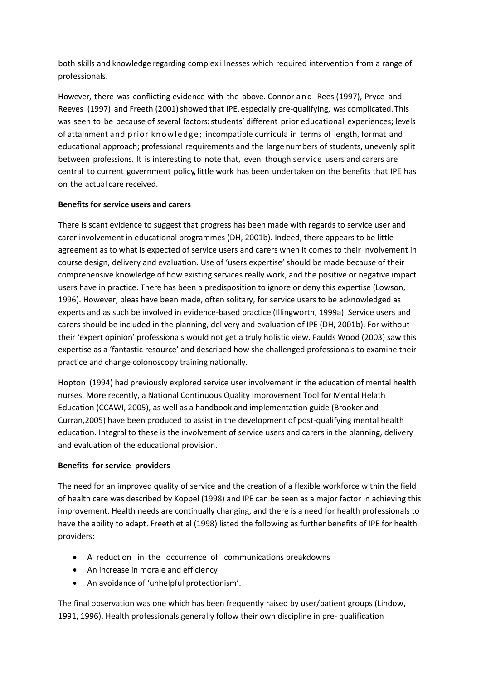both skills and knowledge regarding complex illnesses which required intervention from a range of professionals.

However, there was conflicting evidence with the above. Connor and Rees (1997), Pryce and Reeves (1997) and Freeth (2001) showed that IPE, especially pre-qualifying, was complicated. This was seen to be because of several factors: students' different prior educational experiences; levels of attainment and prior knowledge; incompatible curricula in terms of length, format and educational approach; professional requirements and the large numbers of students, unevenly split between professions. It is interesting to note that, even though service users and carers are central to current government policy, little work has been undertaken on the benefits that IPE has on the actual care received.

# **Benefits for service users and carers**

There is scant evidence to suggest that progress has been made with regards to service user and carer involvement in educational programmes (DH, 2001b). Indeed, there appears to be little agreement as to what is expected of service users and carers when it comes to their involvement in course design, delivery and evaluation. Use of 'users expertise' should be made because of their comprehensive knowledge of how existing services really work, and the positive or negative impact users have in practice. There has been a predisposition to ignore or deny this expertise (Lowson, 1996). However, pleas have been made, often solitary, for service users to be acknowledged as experts and as such be involved in evidence-based practice (Illingworth, 1999a). Service users and carers should be included in the planning, delivery and evaluation of IPE (DH, 2001b). For without their 'expert opinion' professionals would not get a truly holistic view. Faulds Wood (2003) saw this expertise as a 'fantastic resource' and described how she challenged professionals to examine their practice and change colonoscopy training nationally.

Hopton (1994) had previously explored service user involvement in the education of mental health nurses. More recently, a National Continuous Quality Improvement Tool for Mental Helath Education (CCAWI, 2005), as well as a handbook and implementation guide (Brooker and Curran,2005) have been produced to assist in the development of post-qualifying mental health education. Integral to these is the involvement of service users and carers in the planning, delivery and evaluation of the educational provision.

# **Benefits for service providers**

The need for an improved quality of service and the creation of a flexible workforce within the field of health care was described by Koppel (1998) and IPE can be seen as a major factor in achieving this improvement. Health needs are continually changing, and there is a need for health professionals to have the ability to adapt. Freeth et al (1998) listed the following as further benefits of IPE for health providers:

- A reduction in the occurrence of communications breakdowns
- An increase in morale and efficiency
- An avoidance of 'unhelpful protectionism'.

The final observation was one which has been frequently raised by user/patient groups (Lindow, 1991, 1996). Health professionals generally follow their own discipline in pre- qualification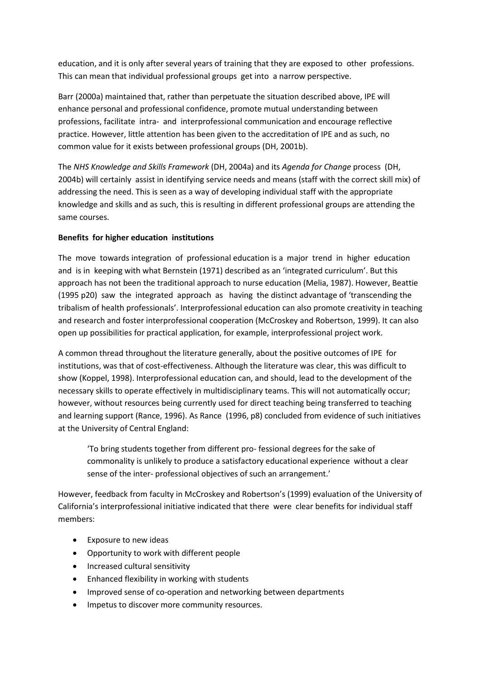education, and it is only after several years of training that they are exposed to other professions. This can mean that individual professional groups get into a narrow perspective.

Barr (2000a) maintained that, rather than perpetuate the situation described above, IPE will enhance personal and professional confidence, promote mutual understanding between professions, facilitate intra- and interprofessional communication and encourage reflective practice. However, little attention has been given to the accreditation of IPE and as such, no common value for it exists between professional groups (DH, 2001b).

The *NHS Knowledge and Skills Framework* (DH, 2004a) and its *Agenda for Change* process (DH, 2004b) will certainly assist in identifying service needs and means (staff with the correct skill mix) of addressing the need. This is seen as a way of developing individual staff with the appropriate knowledge and skills and as such, this is resulting in different professional groups are attending the same courses.

# **Benefits for higher education institutions**

The move towards integration of professional education is a major trend in higher education and is in keeping with what Bernstein (1971) described as an 'integrated curriculum'. But this approach has not been the traditional approach to nurse education (Melia, 1987). However, Beattie (1995 p20) saw the integrated approach as having the distinct advantage of 'transcending the tribalism of health professionals'. Interprofessional education can also promote creativity in teaching and research and foster interprofessional cooperation (McCroskey and Robertson, 1999). It can also open up possibilities for practical application, for example, interprofessional project work.

A common thread throughout the literature generally, about the positive outcomes of IPE for institutions, was that of cost-effectiveness. Although the literature was clear, this was difficult to show (Koppel, 1998). Interprofessional education can, and should, lead to the development of the necessary skills to operate effectively in multidisciplinary teams. This will not automatically occur; however, without resources being currently used for direct teaching being transferred to teaching and learning support (Rance, 1996). As Rance (1996, p8) concluded from evidence of such initiatives at the University of Central England:

'To bring students together from different pro- fessional degrees for the sake of commonality is unlikely to produce a satisfactory educational experience without a clear sense of the inter- professional objectives of such an arrangement.'

However, feedback from faculty in McCroskey and Robertson's (1999) evaluation of the University of California's interprofessional initiative indicated that there were clear benefits for individual staff members:

- Exposure to new ideas
- Opportunity to work with different people
- Increased cultural sensitivity
- Enhanced flexibility in working with students
- Improved sense of co-operation and networking between departments
- Impetus to discover more community resources.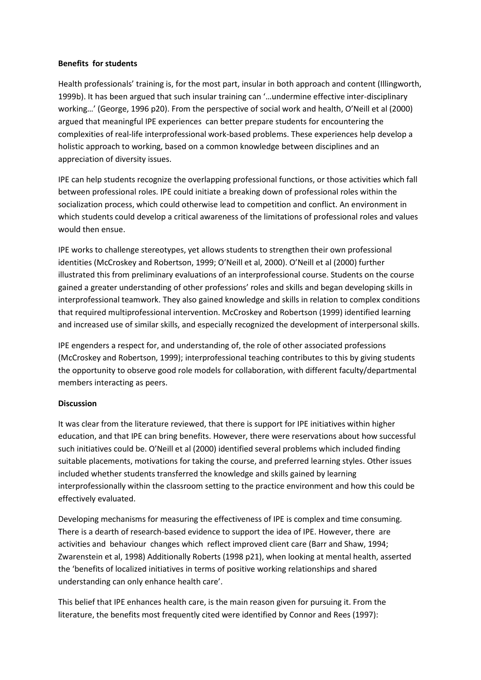### **Benefits for students**

Health professionals' training is, for the most part, insular in both approach and content (Illingworth, 1999b). It has been argued that such insular training can '…undermine effective inter-disciplinary working…' (George, 1996 p20). From the perspective of social work and health, O'Neill et al (2000) argued that meaningful IPE experiences can better prepare students for encountering the complexities of real-life interprofessional work-based problems. These experiences help develop a holistic approach to working, based on a common knowledge between disciplines and an appreciation of diversity issues.

IPE can help students recognize the overlapping professional functions, or those activities which fall between professional roles. IPE could initiate a breaking down of professional roles within the socialization process, which could otherwise lead to competition and conflict. An environment in which students could develop a critical awareness of the limitations of professional roles and values would then ensue.

IPE works to challenge stereotypes, yet allows students to strengthen their own professional identities (McCroskey and Robertson, 1999; O'Neill et al, 2000). O'Neill et al (2000) further illustrated this from preliminary evaluations of an interprofessional course. Students on the course gained a greater understanding of other professions' roles and skills and began developing skills in interprofessional teamwork. They also gained knowledge and skills in relation to complex conditions that required multiprofessional intervention. McCroskey and Robertson (1999) identified learning and increased use of similar skills, and especially recognized the development of interpersonal skills.

IPE engenders a respect for, and understanding of, the role of other associated professions (McCroskey and Robertson, 1999); interprofessional teaching contributes to this by giving students the opportunity to observe good role models for collaboration, with different faculty/departmental members interacting as peers.

### **Discussion**

It was clear from the literature reviewed, that there is support for IPE initiatives within higher education, and that IPE can bring benefits. However, there were reservations about how successful such initiatives could be. O'Neill et al (2000) identified several problems which included finding suitable placements, motivations for taking the course, and preferred learning styles. Other issues included whether students transferred the knowledge and skills gained by learning interprofessionally within the classroom setting to the practice environment and how this could be effectively evaluated.

Developing mechanisms for measuring the effectiveness of IPE is complex and time consuming. There is a dearth of research-based evidence to support the idea of IPE. However, there are activities and behaviour changes which reflect improved client care (Barr and Shaw, 1994; Zwarenstein et al, 1998) Additionally Roberts (1998 p21), when looking at mental health, asserted the 'benefits of localized initiatives in terms of positive working relationships and shared understanding can only enhance health care'.

This belief that IPE enhances health care, is the main reason given for pursuing it. From the literature, the benefits most frequently cited were identified by Connor and Rees (1997):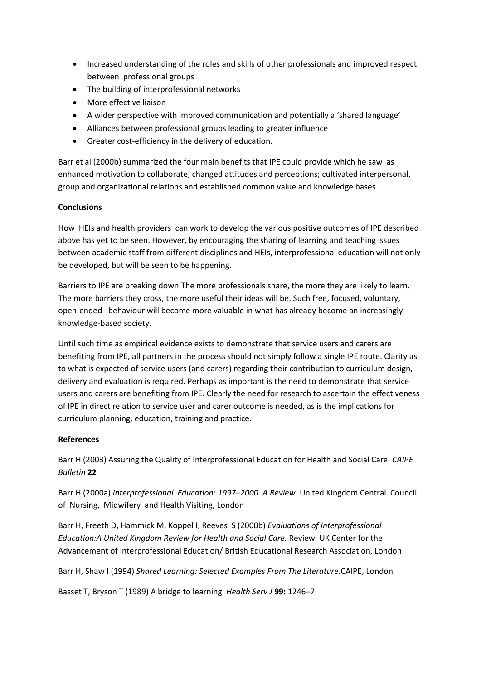- Increased understanding of the roles and skills of other professionals and improved respect between professional groups
- The building of interprofessional networks
- More effective liaison
- A wider perspective with improved communication and potentially a 'shared language'
- Alliances between professional groups leading to greater influence
- Greater cost-efficiency in the delivery of education.

Barr et al (2000b) summarized the four main benefits that IPE could provide which he saw as enhanced motivation to collaborate, changed attitudes and perceptions; cultivated interpersonal, group and organizational relations and established common value and knowledge bases

## **Conclusions**

How HEIs and health providers can work to develop the various positive outcomes of IPE described above has yet to be seen. However, by encouraging the sharing of learning and teaching issues between academic staff from different disciplines and HEIs, interprofessional education will not only be developed, but will be seen to be happening.

Barriers to IPE are breaking down.The more professionals share, the more they are likely to learn. The more barriers they cross, the more useful their ideas will be. Such free, focused, voluntary, open-ended behaviour will become more valuable in what has already become an increasingly knowledge-based society.

Until such time as empirical evidence exists to demonstrate that service users and carers are benefiting from IPE, all partners in the process should not simply follow a single IPE route. Clarity as to what is expected of service users (and carers) regarding their contribution to curriculum design, delivery and evaluation is required. Perhaps as important is the need to demonstrate that service users and carers are benefiting from IPE. Clearly the need for research to ascertain the effectiveness of IPE in direct relation to service user and carer outcome is needed, as is the implications for curriculum planning, education, training and practice.

# **References**

Barr H (2003) Assuring the Quality of Interprofessional Education for Health and Social Care. *CAIPE Bulletin* **22**

Barr H (2000a) *Interprofessional Education: 1997–2000. A Review.* United Kingdom Central Council of Nursing, Midwifery and Health Visiting, London

Barr H, Freeth D, Hammick M, Koppel I, Reeves S (2000b) *Evaluations of Interprofessional Education:A United Kingdom Review for Health and Social Care.* Review. UK Center for the Advancement of Interprofessional Education/ British Educational Research Association, London

Barr H, Shaw I (1994) *Shared Learning: Selected Examples From The Literature.*CAIPE, London

Basset T, Bryson T (1989) A bridge to learning. *Health Serv J* **99:** 1246–7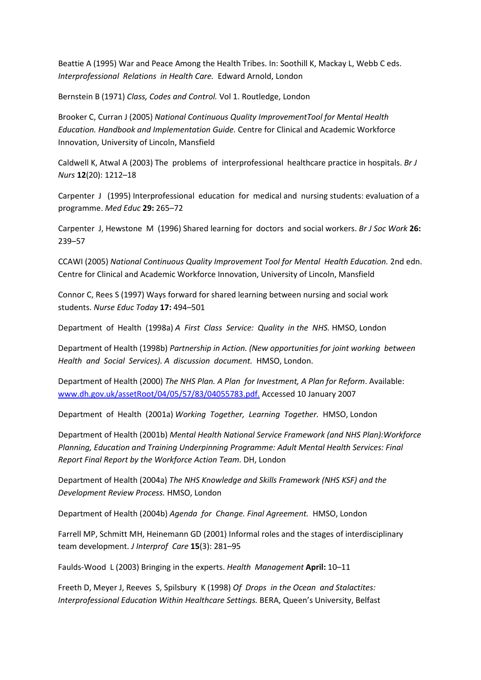Beattie A (1995) War and Peace Among the Health Tribes. In: Soothill K, Mackay L, Webb C eds. *Interprofessional Relations in Health Care.* Edward Arnold, London

Bernstein B (1971) *Class, Codes and Control.* Vol 1. Routledge, London

Brooker C, Curran J (2005) *National Continuous Quality ImprovementTool for Mental Health Education. Handbook and Implementation Guide.* Centre for Clinical and Academic Workforce Innovation, University of Lincoln, Mansfield

Caldwell K, Atwal A (2003) The problems of interprofessional healthcare practice in hospitals. *Br J Nurs* **12**(20): 1212–18

Carpenter J (1995) Interprofessional education for medical and nursing students: evaluation of a programme. *Med Educ* **29:** 265–72

Carpenter J, Hewstone M (1996) Shared learning for doctors and social workers. *Br J Soc Work* **26:**  239–57

CCAWI (2005) *National Continuous Quality Improvement Tool for Mental Health Education.* 2nd edn. Centre for Clinical and Academic Workforce Innovation, University of Lincoln, Mansfield

Connor C, Rees S (1997) Ways forward for shared learning between nursing and social work students. *Nurse Educ Today* **17:** 494–501

Department of Health (1998a) *A First Class Service: Quality in the NHS.* HMSO, London

Department of Health (1998b) *Partnership in Action. (New opportunities for joint working between Health and Social Services). A discussion document.* HMSO, London.

Department of Health (2000) *The NHS Plan. A Plan for Investment, A Plan for Reform*. Available: [www.dh.gov.uk/assetRoot/04/05/57/83/04055783.pdf.](http://www.dh.gov.uk/assetRoot/04/05/57/83/04055783.pdf) Accessed 10 January 2007

Department of Health (2001a) *Working Together, Learning Together.* HMSO, London

Department of Health (2001b) *Mental Health National Service Framework (and NHS Plan):Workforce Planning, Education and Training Underpinning Programme: Adult Mental Health Services: Final Report Final Report by the Workforce Action Team.* DH, London

Department of Health (2004a) *The NHS Knowledge and Skills Framework (NHS KSF) and the Development Review Process.* HMSO, London

Department of Health (2004b) *Agenda for Change. Final Agreement.* HMSO, London

Farrell MP, Schmitt MH, Heinemann GD (2001) Informal roles and the stages of interdisciplinary team development. *J Interprof Care* **15**(3): 281–95

Faulds-Wood L (2003) Bringing in the experts. *Health Management* **April:** 10–11

Freeth D, Meyer J, Reeves S, Spilsbury K (1998) *Of Drops in the Ocean and Stalactites: Interprofessional Education Within Healthcare Settings.* BERA, Queen's University, Belfast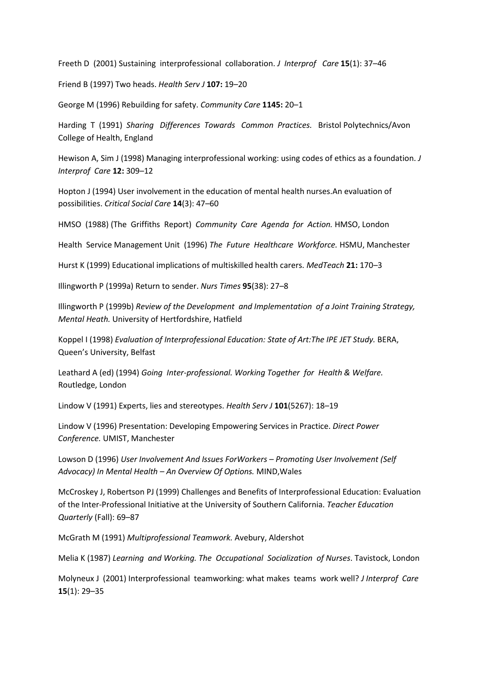Freeth D (2001) Sustaining interprofessional collaboration. *J Interprof Care* **15**(1): 37–46

Friend B (1997) Two heads. *Health Serv J* **107:** 19–20

George M (1996) Rebuilding for safety. *Community Care* **1145:** 20–1

Harding T (1991) *Sharing Differences Towards Common Practices.* Bristol Polytechnics/Avon College of Health, England

Hewison A, Sim J (1998) Managing interprofessional working: using codes of ethics as a foundation. *J Interprof Care* **12:** 309–12

Hopton J (1994) User involvement in the education of mental health nurses.An evaluation of possibilities. *Critical Social Care* **14**(3): 47–60

HMSO (1988) (The Griffiths Report) *Community Care Agenda for Action.* HMSO, London

Health Service Management Unit (1996) *The Future Healthcare Workforce.* HSMU, Manchester

Hurst K (1999) Educational implications of multiskilled health carers. *MedTeach* **21:** 170–3

Illingworth P (1999a) Return to sender. *Nurs Times* **95**(38): 27–8

Illingworth P (1999b) *Review of the Development and Implementation of a Joint Training Strategy, Mental Heath.* University of Hertfordshire, Hatfield

Koppel I (1998) *Evaluation of Interprofessional Education: State of Art:The IPE JET Study.* BERA, Queen's University, Belfast

Leathard A (ed) (1994) *Going Inter-professional. Working Together for Health & Welfare.*  Routledge, London

Lindow V (1991) Experts, lies and stereotypes. *Health Serv J* **101**(5267): 18–19

Lindow V (1996) Presentation: Developing Empowering Services in Practice. *Direct Power Conference.* UMIST, Manchester

Lowson D (1996) *User Involvement And Issues ForWorkers – Promoting User Involvement (Self Advocacy) In Mental Health – An Overview Of Options.* MIND,Wales

McCroskey J, Robertson PJ (1999) Challenges and Benefits of Interprofessional Education: Evaluation of the Inter-Professional Initiative at the University of Southern California. *Teacher Education Quarterly* (Fall): 69–87

McGrath M (1991) *Multiprofessional Teamwork.* Avebury, Aldershot

Melia K (1987) *Learning and Working. The Occupational Socialization of Nurses*. Tavistock, London

Molyneux J (2001) Interprofessional teamworking: what makes teams work well? *J Interprof Care*  **15**(1): 29–35